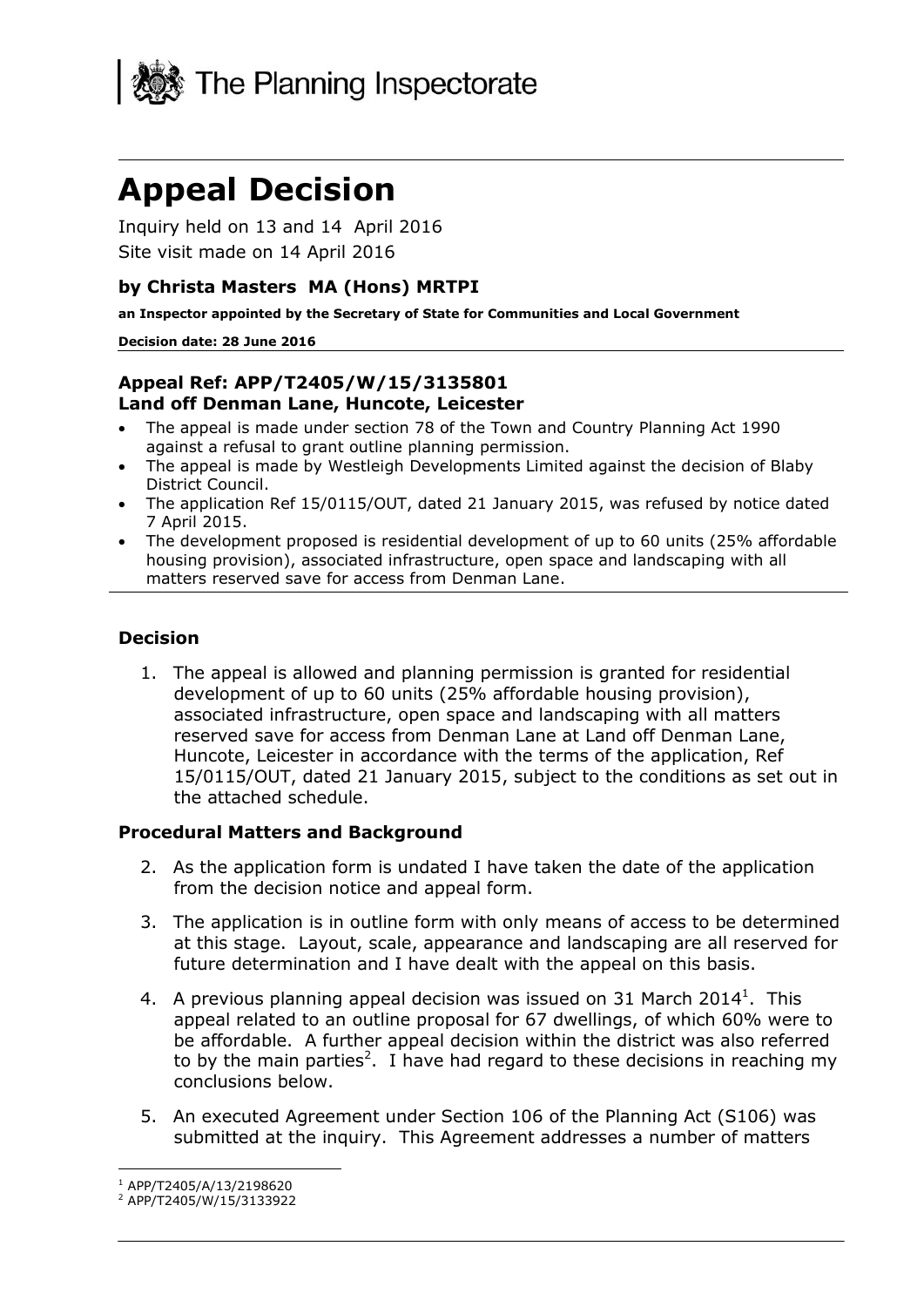

# **Appeal Decision**

Inquiry held on 13 and 14 April 2016 Site visit made on 14 April 2016

#### **by Christa Masters MA (Hons) MRTPI**

**an Inspector appointed by the Secretary of State for Communities and Local Government**

#### **Decision date: 28 June 2016**

#### **Appeal Ref: APP/T2405/W/15/3135801 Land off Denman Lane, Huncote, Leicester**

- The appeal is made under section 78 of the Town and Country Planning Act 1990 against a refusal to grant outline planning permission.
- The appeal is made by Westleigh Developments Limited against the decision of Blaby District Council.
- The application Ref 15/0115/OUT, dated 21 January 2015, was refused by notice dated 7 April 2015.
- The development proposed is residential development of up to 60 units (25% affordable housing provision), associated infrastructure, open space and landscaping with all matters reserved save for access from Denman Lane.

#### **Decision**

1. The appeal is allowed and planning permission is granted for residential development of up to 60 units (25% affordable housing provision), associated infrastructure, open space and landscaping with all matters reserved save for access from Denman Lane at Land off Denman Lane, Huncote, Leicester in accordance with the terms of the application, Ref 15/0115/OUT, dated 21 January 2015, subject to the conditions as set out in the attached schedule.

#### **Procedural Matters and Background**

- 2. As the application form is undated I have taken the date of the application from the decision notice and appeal form.
- 3. The application is in outline form with only means of access to be determined at this stage. Layout, scale, appearance and landscaping are all reserved for future determination and I have dealt with the appeal on this basis.
- 4. A previous planning appeal decision was issued on 31 March 2014<sup>1</sup>. This appeal related to an outline proposal for 67 dwellings, of which 60% were to be affordable. A further appeal decision within the district was also referred to by the main parties<sup>2</sup>. I have had regard to these decisions in reaching my conclusions below.
- 5. An executed Agreement under Section 106 of the Planning Act (S106) was submitted at the inquiry. This Agreement addresses a number of matters

j <sup>1</sup> APP/T2405/A/13/2198620

<sup>2</sup> APP/T2405/W/15/3133922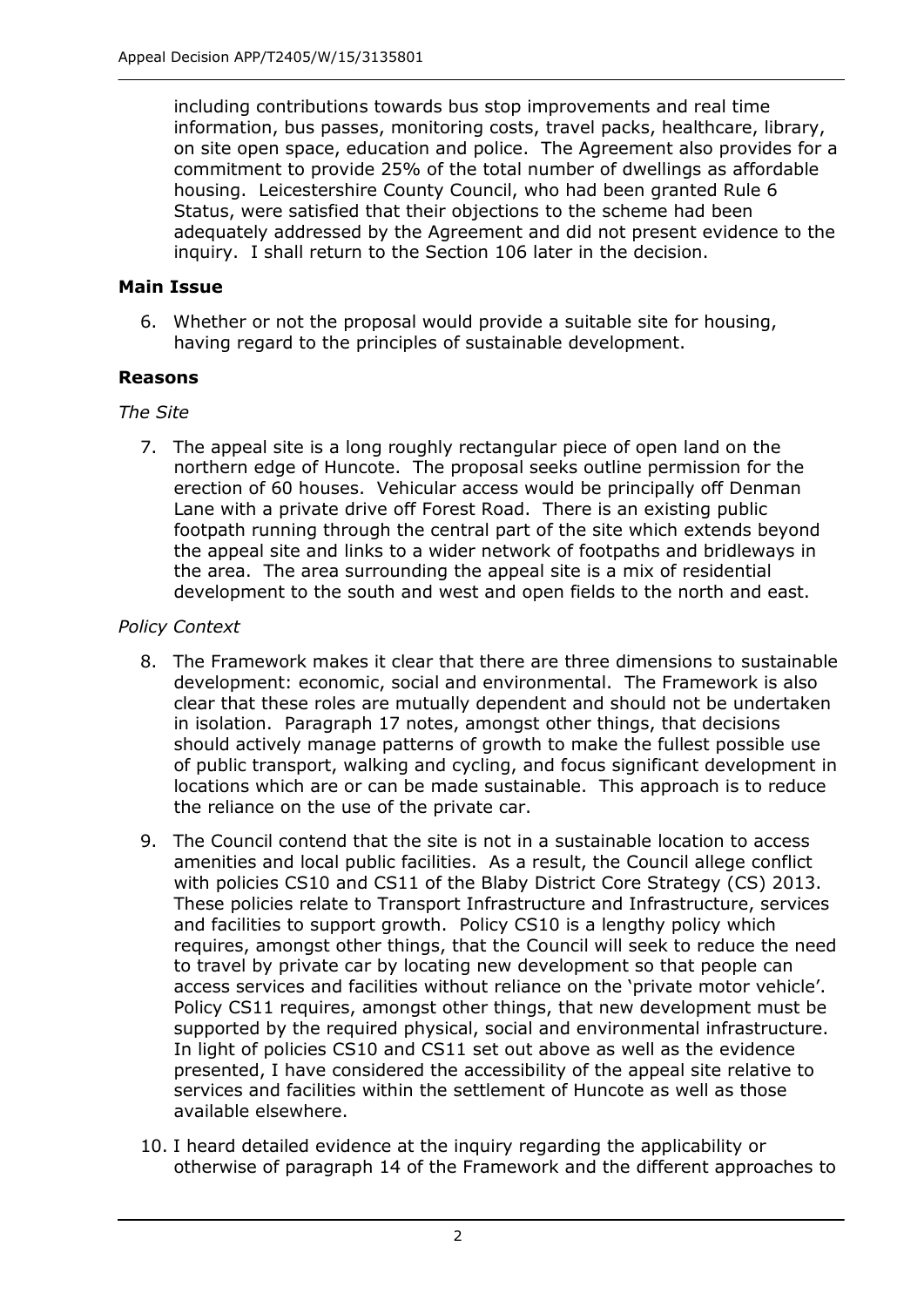including contributions towards bus stop improvements and real time information, bus passes, monitoring costs, travel packs, healthcare, library, on site open space, education and police. The Agreement also provides for a commitment to provide 25% of the total number of dwellings as affordable housing. Leicestershire County Council, who had been granted Rule 6 Status, were satisfied that their objections to the scheme had been adequately addressed by the Agreement and did not present evidence to the inquiry. I shall return to the Section 106 later in the decision.

#### **Main Issue**

6. Whether or not the proposal would provide a suitable site for housing, having regard to the principles of sustainable development.

#### **Reasons**

## *The Site*

7. The appeal site is a long roughly rectangular piece of open land on the northern edge of Huncote. The proposal seeks outline permission for the erection of 60 houses. Vehicular access would be principally off Denman Lane with a private drive off Forest Road. There is an existing public footpath running through the central part of the site which extends beyond the appeal site and links to a wider network of footpaths and bridleways in the area. The area surrounding the appeal site is a mix of residential development to the south and west and open fields to the north and east.

## *Policy Context*

- 8. The Framework makes it clear that there are three dimensions to sustainable development: economic, social and environmental. The Framework is also clear that these roles are mutually dependent and should not be undertaken in isolation. Paragraph 17 notes, amongst other things, that decisions should actively manage patterns of growth to make the fullest possible use of public transport, walking and cycling, and focus significant development in locations which are or can be made sustainable. This approach is to reduce the reliance on the use of the private car.
- 9. The Council contend that the site is not in a sustainable location to access amenities and local public facilities. As a result, the Council allege conflict with policies CS10 and CS11 of the Blaby District Core Strategy (CS) 2013. These policies relate to Transport Infrastructure and Infrastructure, services and facilities to support growth. Policy CS10 is a lengthy policy which requires, amongst other things, that the Council will seek to reduce the need to travel by private car by locating new development so that people can access services and facilities without reliance on the 'private motor vehicle'. Policy CS11 requires, amongst other things, that new development must be supported by the required physical, social and environmental infrastructure. In light of policies CS10 and CS11 set out above as well as the evidence presented, I have considered the accessibility of the appeal site relative to services and facilities within the settlement of Huncote as well as those available elsewhere.
- 10. I heard detailed evidence at the inquiry regarding the applicability or otherwise of paragraph 14 of the Framework and the different approaches to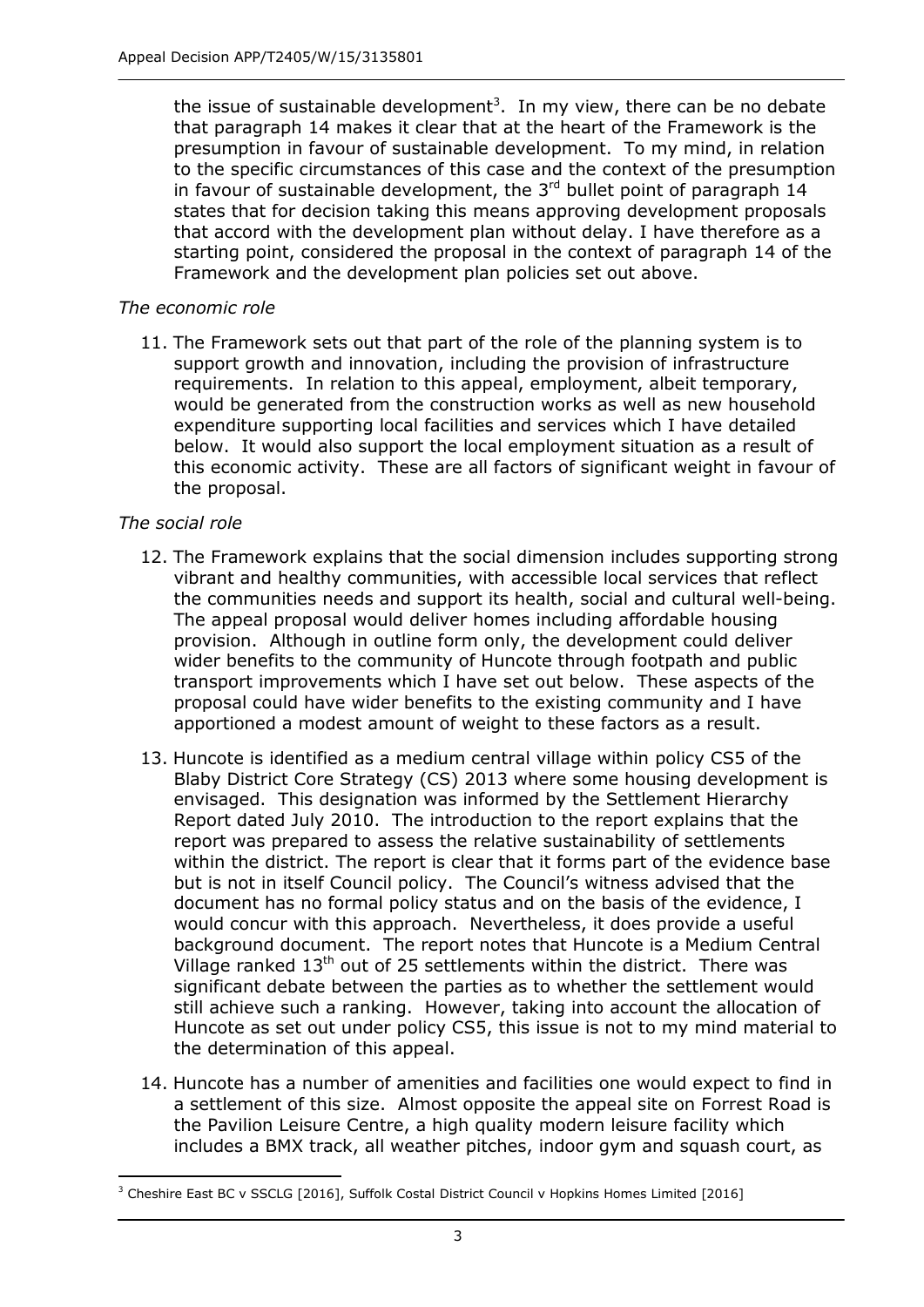the issue of sustainable development<sup>3</sup>. In my view, there can be no debate that paragraph 14 makes it clear that at the heart of the Framework is the presumption in favour of sustainable development. To my mind, in relation to the specific circumstances of this case and the context of the presumption in favour of sustainable development, the  $3<sup>rd</sup>$  bullet point of paragraph 14 states that for decision taking this means approving development proposals that accord with the development plan without delay. I have therefore as a starting point, considered the proposal in the context of paragraph 14 of the Framework and the development plan policies set out above.

#### *The economic role*

11. The Framework sets out that part of the role of the planning system is to support growth and innovation, including the provision of infrastructure requirements. In relation to this appeal, employment, albeit temporary, would be generated from the construction works as well as new household expenditure supporting local facilities and services which I have detailed below. It would also support the local employment situation as a result of this economic activity. These are all factors of significant weight in favour of the proposal.

#### *The social role*

-

- 12. The Framework explains that the social dimension includes supporting strong vibrant and healthy communities, with accessible local services that reflect the communities needs and support its health, social and cultural well-being. The appeal proposal would deliver homes including affordable housing provision. Although in outline form only, the development could deliver wider benefits to the community of Huncote through footpath and public transport improvements which I have set out below. These aspects of the proposal could have wider benefits to the existing community and I have apportioned a modest amount of weight to these factors as a result.
- 13. Huncote is identified as a medium central village within policy CS5 of the Blaby District Core Strategy (CS) 2013 where some housing development is envisaged. This designation was informed by the Settlement Hierarchy Report dated July 2010. The introduction to the report explains that the report was prepared to assess the relative sustainability of settlements within the district. The report is clear that it forms part of the evidence base but is not in itself Council policy. The Council's witness advised that the document has no formal policy status and on the basis of the evidence, I would concur with this approach. Nevertheless, it does provide a useful background document. The report notes that Huncote is a Medium Central Village ranked  $13<sup>th</sup>$  out of 25 settlements within the district. There was significant debate between the parties as to whether the settlement would still achieve such a ranking. However, taking into account the allocation of Huncote as set out under policy CS5, this issue is not to my mind material to the determination of this appeal.
- 14. Huncote has a number of amenities and facilities one would expect to find in a settlement of this size. Almost opposite the appeal site on Forrest Road is the Pavilion Leisure Centre, a high quality modern leisure facility which includes a BMX track, all weather pitches, indoor gym and squash court, as

<sup>&</sup>lt;sup>3</sup> Cheshire East BC v SSCLG [2016], Suffolk Costal District Council v Hopkins Homes Limited [2016]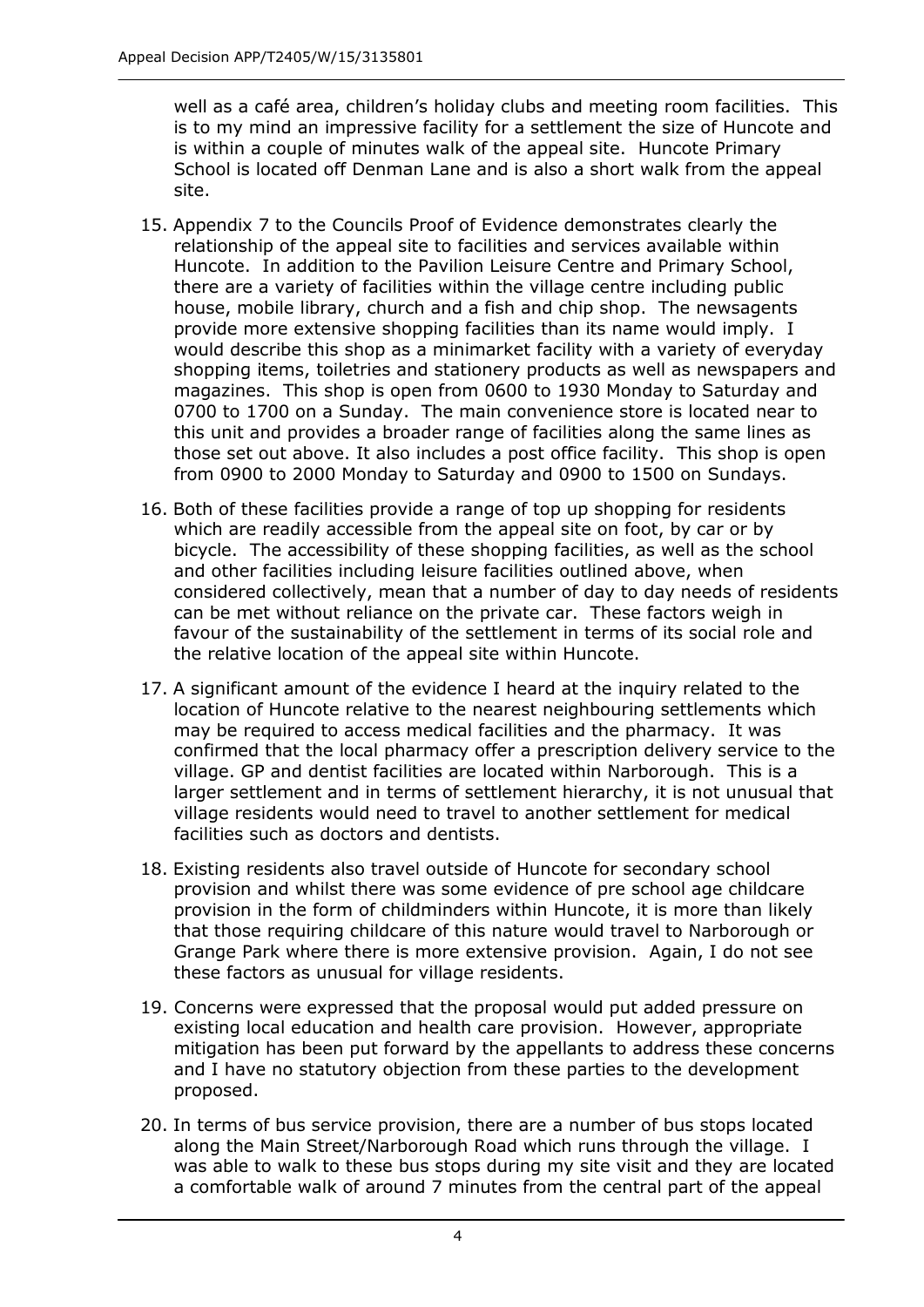well as a café area, children's holiday clubs and meeting room facilities. This is to my mind an impressive facility for a settlement the size of Huncote and is within a couple of minutes walk of the appeal site. Huncote Primary School is located off Denman Lane and is also a short walk from the appeal site.

- 15. Appendix 7 to the Councils Proof of Evidence demonstrates clearly the relationship of the appeal site to facilities and services available within Huncote. In addition to the Pavilion Leisure Centre and Primary School, there are a variety of facilities within the village centre including public house, mobile library, church and a fish and chip shop. The newsagents provide more extensive shopping facilities than its name would imply. I would describe this shop as a minimarket facility with a variety of everyday shopping items, toiletries and stationery products as well as newspapers and magazines. This shop is open from 0600 to 1930 Monday to Saturday and 0700 to 1700 on a Sunday. The main convenience store is located near to this unit and provides a broader range of facilities along the same lines as those set out above. It also includes a post office facility. This shop is open from 0900 to 2000 Monday to Saturday and 0900 to 1500 on Sundays.
- 16. Both of these facilities provide a range of top up shopping for residents which are readily accessible from the appeal site on foot, by car or by bicycle. The accessibility of these shopping facilities, as well as the school and other facilities including leisure facilities outlined above, when considered collectively, mean that a number of day to day needs of residents can be met without reliance on the private car. These factors weigh in favour of the sustainability of the settlement in terms of its social role and the relative location of the appeal site within Huncote.
- 17. A significant amount of the evidence I heard at the inquiry related to the location of Huncote relative to the nearest neighbouring settlements which may be required to access medical facilities and the pharmacy. It was confirmed that the local pharmacy offer a prescription delivery service to the village. GP and dentist facilities are located within Narborough. This is a larger settlement and in terms of settlement hierarchy, it is not unusual that village residents would need to travel to another settlement for medical facilities such as doctors and dentists.
- 18. Existing residents also travel outside of Huncote for secondary school provision and whilst there was some evidence of pre school age childcare provision in the form of childminders within Huncote, it is more than likely that those requiring childcare of this nature would travel to Narborough or Grange Park where there is more extensive provision. Again, I do not see these factors as unusual for village residents.
- 19. Concerns were expressed that the proposal would put added pressure on existing local education and health care provision. However, appropriate mitigation has been put forward by the appellants to address these concerns and I have no statutory objection from these parties to the development proposed.
- 20. In terms of bus service provision, there are a number of bus stops located along the Main Street/Narborough Road which runs through the village. I was able to walk to these bus stops during my site visit and they are located a comfortable walk of around 7 minutes from the central part of the appeal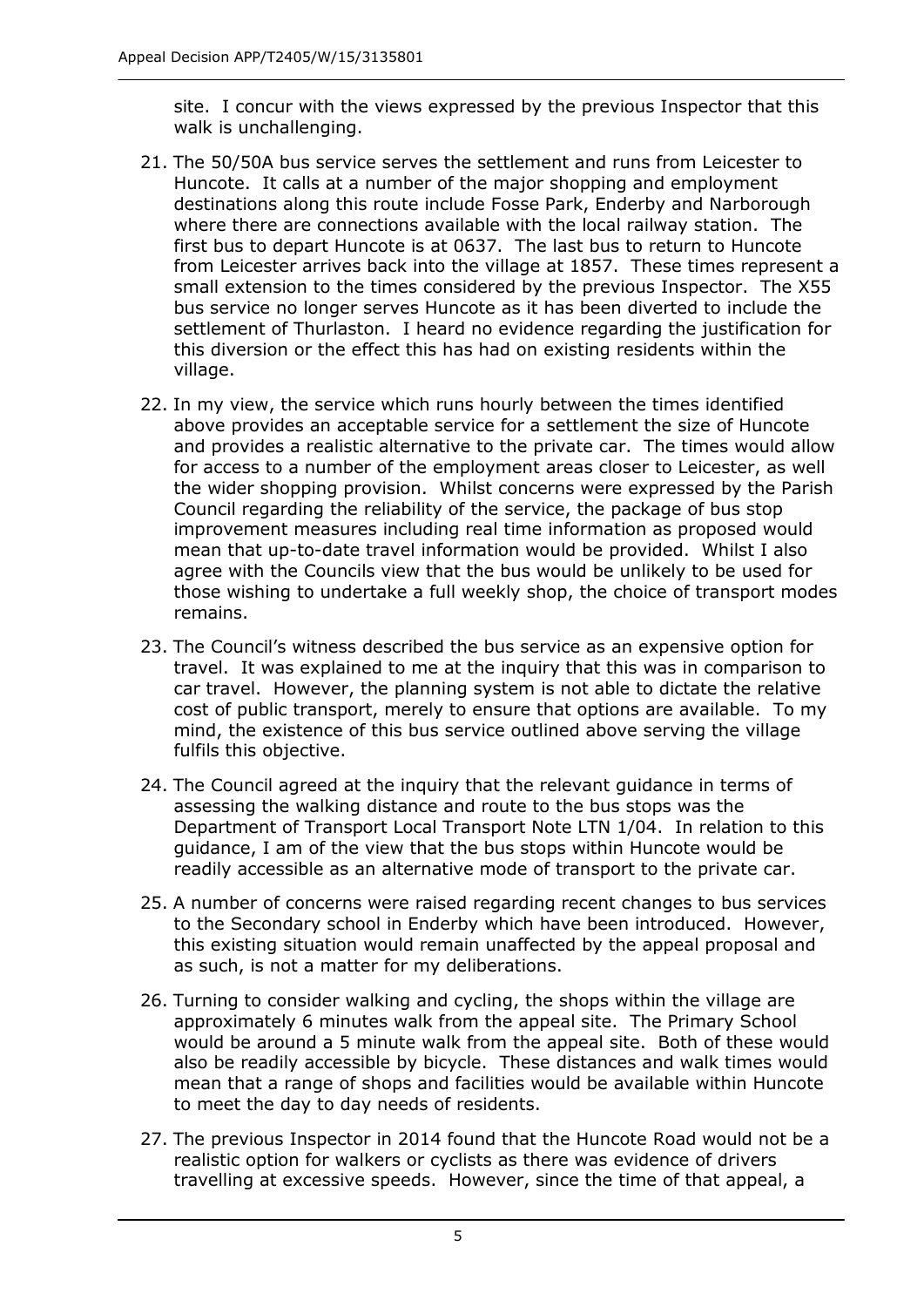site. I concur with the views expressed by the previous Inspector that this walk is unchallenging.

- 21. The 50/50A bus service serves the settlement and runs from Leicester to Huncote. It calls at a number of the major shopping and employment destinations along this route include Fosse Park, Enderby and Narborough where there are connections available with the local railway station. The first bus to depart Huncote is at 0637. The last bus to return to Huncote from Leicester arrives back into the village at 1857. These times represent a small extension to the times considered by the previous Inspector. The X55 bus service no longer serves Huncote as it has been diverted to include the settlement of Thurlaston. I heard no evidence regarding the justification for this diversion or the effect this has had on existing residents within the village.
- 22. In my view, the service which runs hourly between the times identified above provides an acceptable service for a settlement the size of Huncote and provides a realistic alternative to the private car. The times would allow for access to a number of the employment areas closer to Leicester, as well the wider shopping provision. Whilst concerns were expressed by the Parish Council regarding the reliability of the service, the package of bus stop improvement measures including real time information as proposed would mean that up-to-date travel information would be provided. Whilst I also agree with the Councils view that the bus would be unlikely to be used for those wishing to undertake a full weekly shop, the choice of transport modes remains.
- 23. The Council's witness described the bus service as an expensive option for travel. It was explained to me at the inquiry that this was in comparison to car travel. However, the planning system is not able to dictate the relative cost of public transport, merely to ensure that options are available. To my mind, the existence of this bus service outlined above serving the village fulfils this objective.
- 24. The Council agreed at the inquiry that the relevant guidance in terms of assessing the walking distance and route to the bus stops was the Department of Transport Local Transport Note LTN 1/04. In relation to this guidance, I am of the view that the bus stops within Huncote would be readily accessible as an alternative mode of transport to the private car.
- 25. A number of concerns were raised regarding recent changes to bus services to the Secondary school in Enderby which have been introduced. However, this existing situation would remain unaffected by the appeal proposal and as such, is not a matter for my deliberations.
- 26. Turning to consider walking and cycling, the shops within the village are approximately 6 minutes walk from the appeal site. The Primary School would be around a 5 minute walk from the appeal site. Both of these would also be readily accessible by bicycle. These distances and walk times would mean that a range of shops and facilities would be available within Huncote to meet the day to day needs of residents.
- 27. The previous Inspector in 2014 found that the Huncote Road would not be a realistic option for walkers or cyclists as there was evidence of drivers travelling at excessive speeds. However, since the time of that appeal, a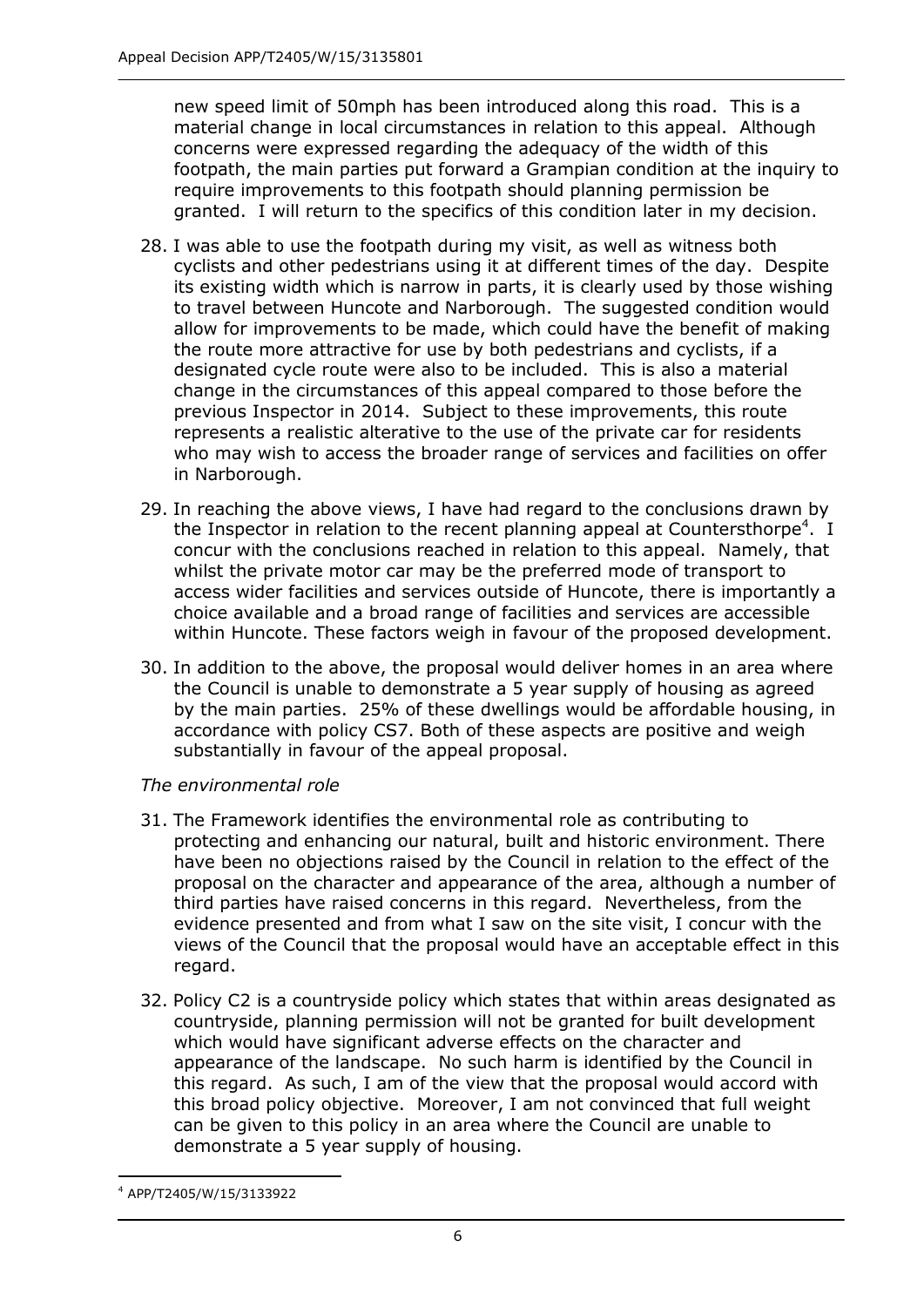new speed limit of 50mph has been introduced along this road. This is a material change in local circumstances in relation to this appeal. Although concerns were expressed regarding the adequacy of the width of this footpath, the main parties put forward a Grampian condition at the inquiry to require improvements to this footpath should planning permission be granted. I will return to the specifics of this condition later in my decision.

- 28. I was able to use the footpath during my visit, as well as witness both cyclists and other pedestrians using it at different times of the day. Despite its existing width which is narrow in parts, it is clearly used by those wishing to travel between Huncote and Narborough. The suggested condition would allow for improvements to be made, which could have the benefit of making the route more attractive for use by both pedestrians and cyclists, if a designated cycle route were also to be included. This is also a material change in the circumstances of this appeal compared to those before the previous Inspector in 2014. Subject to these improvements, this route represents a realistic alterative to the use of the private car for residents who may wish to access the broader range of services and facilities on offer in Narborough.
- 29. In reaching the above views, I have had regard to the conclusions drawn by the Inspector in relation to the recent planning appeal at Countersthorpe<sup>4</sup>. I concur with the conclusions reached in relation to this appeal. Namely, that whilst the private motor car may be the preferred mode of transport to access wider facilities and services outside of Huncote, there is importantly a choice available and a broad range of facilities and services are accessible within Huncote. These factors weigh in favour of the proposed development.
- 30. In addition to the above, the proposal would deliver homes in an area where the Council is unable to demonstrate a 5 year supply of housing as agreed by the main parties. 25% of these dwellings would be affordable housing, in accordance with policy CS7. Both of these aspects are positive and weigh substantially in favour of the appeal proposal.

#### *The environmental role*

- 31. The Framework identifies the environmental role as contributing to protecting and enhancing our natural, built and historic environment. There have been no objections raised by the Council in relation to the effect of the proposal on the character and appearance of the area, although a number of third parties have raised concerns in this regard. Nevertheless, from the evidence presented and from what I saw on the site visit, I concur with the views of the Council that the proposal would have an acceptable effect in this regard.
- 32. Policy C2 is a countryside policy which states that within areas designated as countryside, planning permission will not be granted for built development which would have significant adverse effects on the character and appearance of the landscape. No such harm is identified by the Council in this regard. As such, I am of the view that the proposal would accord with this broad policy objective. Moreover, I am not convinced that full weight can be given to this policy in an area where the Council are unable to demonstrate a 5 year supply of housing.

-

<sup>4</sup> APP/T2405/W/15/3133922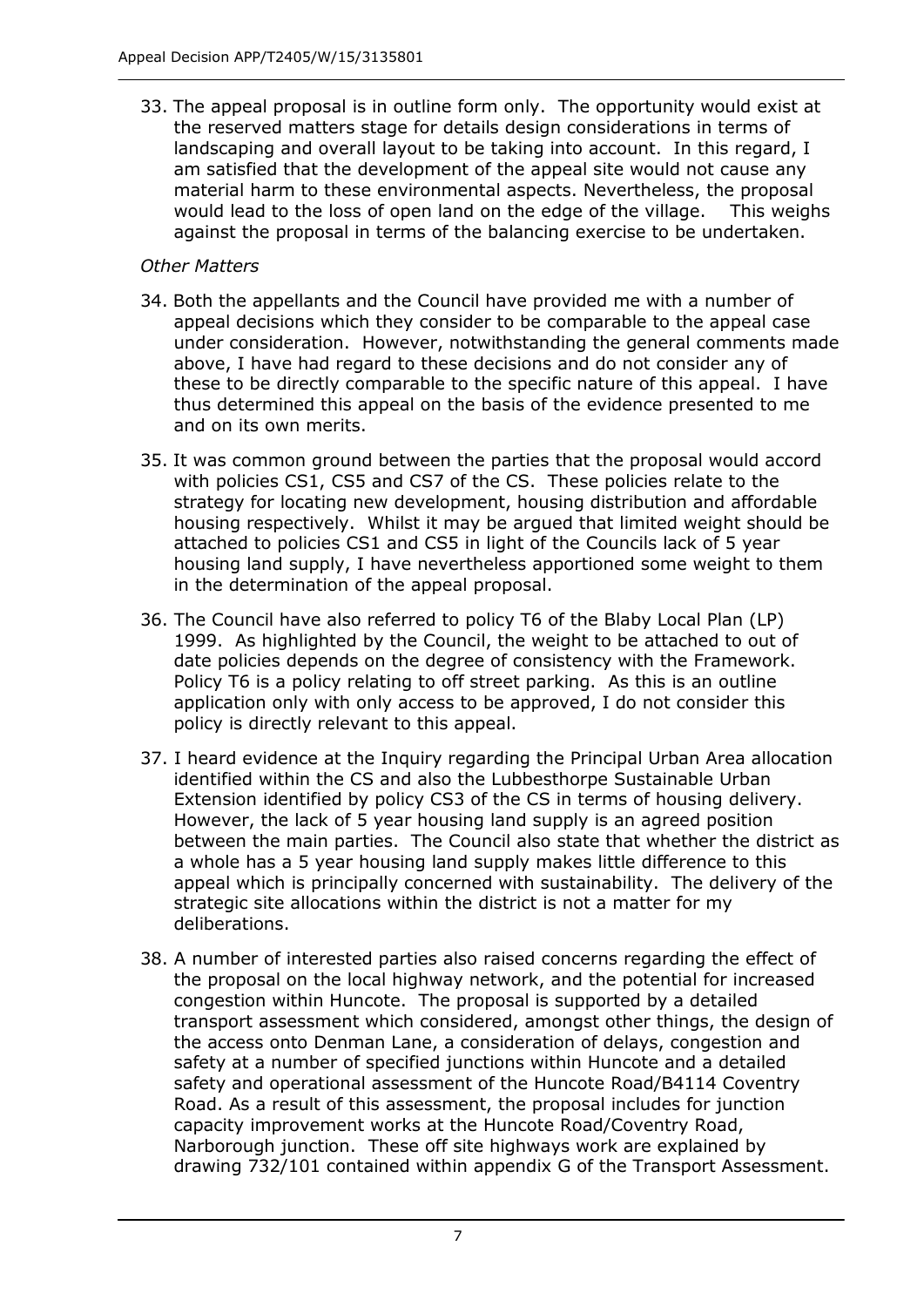33. The appeal proposal is in outline form only. The opportunity would exist at the reserved matters stage for details design considerations in terms of landscaping and overall layout to be taking into account. In this regard, I am satisfied that the development of the appeal site would not cause any material harm to these environmental aspects. Nevertheless, the proposal would lead to the loss of open land on the edge of the village. This weighs against the proposal in terms of the balancing exercise to be undertaken.

## *Other Matters*

- 34. Both the appellants and the Council have provided me with a number of appeal decisions which they consider to be comparable to the appeal case under consideration. However, notwithstanding the general comments made above, I have had regard to these decisions and do not consider any of these to be directly comparable to the specific nature of this appeal. I have thus determined this appeal on the basis of the evidence presented to me and on its own merits.
- 35. It was common ground between the parties that the proposal would accord with policies CS1, CS5 and CS7 of the CS. These policies relate to the strategy for locating new development, housing distribution and affordable housing respectively. Whilst it may be argued that limited weight should be attached to policies CS1 and CS5 in light of the Councils lack of 5 year housing land supply, I have nevertheless apportioned some weight to them in the determination of the appeal proposal.
- 36. The Council have also referred to policy T6 of the Blaby Local Plan (LP) 1999. As highlighted by the Council, the weight to be attached to out of date policies depends on the degree of consistency with the Framework. Policy T6 is a policy relating to off street parking. As this is an outline application only with only access to be approved, I do not consider this policy is directly relevant to this appeal.
- 37. I heard evidence at the Inquiry regarding the Principal Urban Area allocation identified within the CS and also the Lubbesthorpe Sustainable Urban Extension identified by policy CS3 of the CS in terms of housing delivery. However, the lack of 5 year housing land supply is an agreed position between the main parties. The Council also state that whether the district as a whole has a 5 year housing land supply makes little difference to this appeal which is principally concerned with sustainability. The delivery of the strategic site allocations within the district is not a matter for my deliberations.
- 38. A number of interested parties also raised concerns regarding the effect of the proposal on the local highway network, and the potential for increased congestion within Huncote. The proposal is supported by a detailed transport assessment which considered, amongst other things, the design of the access onto Denman Lane, a consideration of delays, congestion and safety at a number of specified junctions within Huncote and a detailed safety and operational assessment of the Huncote Road/B4114 Coventry Road. As a result of this assessment, the proposal includes for junction capacity improvement works at the Huncote Road/Coventry Road, Narborough junction. These off site highways work are explained by drawing 732/101 contained within appendix G of the Transport Assessment.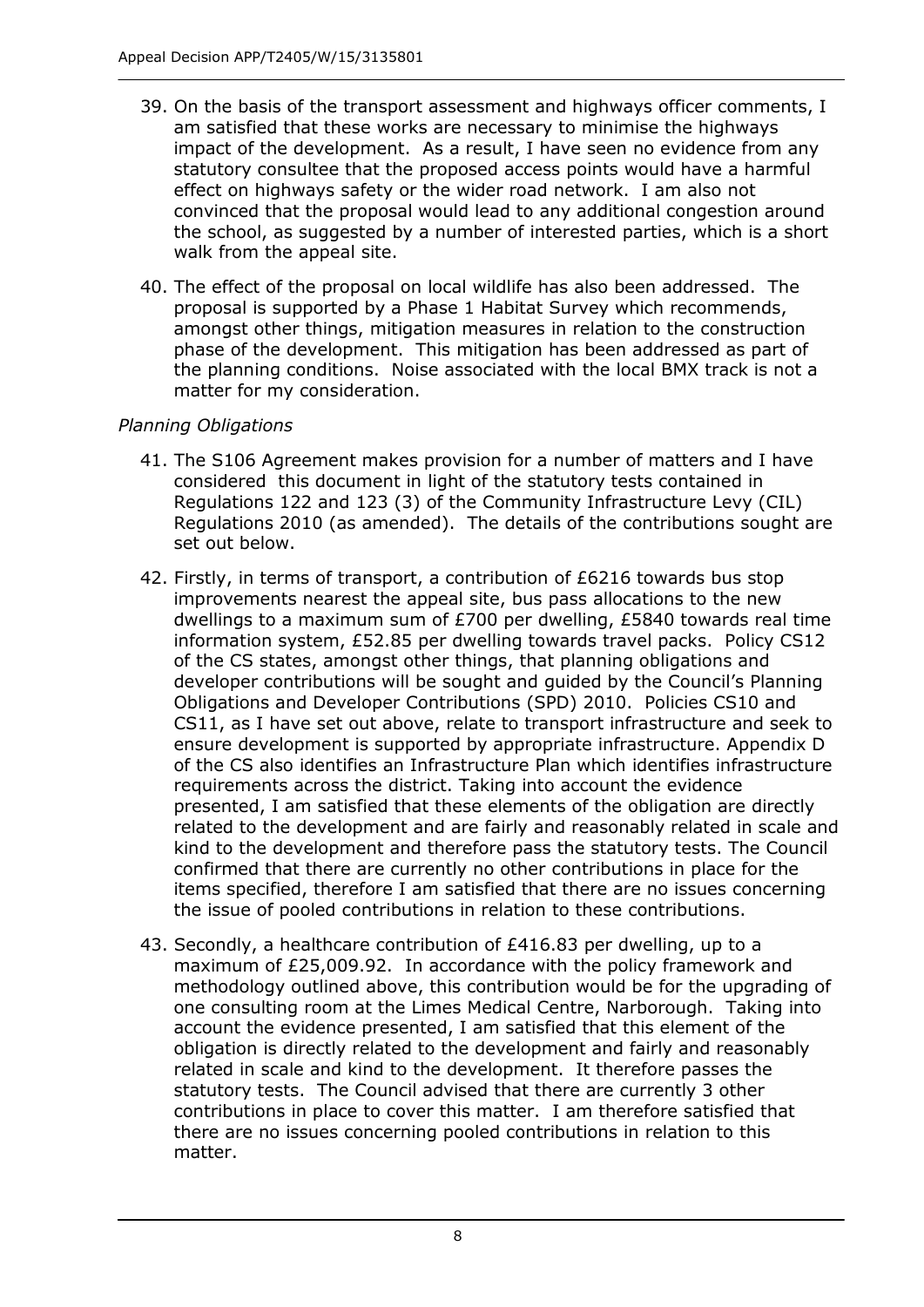- 39. On the basis of the transport assessment and highways officer comments, I am satisfied that these works are necessary to minimise the highways impact of the development. As a result, I have seen no evidence from any statutory consultee that the proposed access points would have a harmful effect on highways safety or the wider road network. I am also not convinced that the proposal would lead to any additional congestion around the school, as suggested by a number of interested parties, which is a short walk from the appeal site.
- 40. The effect of the proposal on local wildlife has also been addressed. The proposal is supported by a Phase 1 Habitat Survey which recommends, amongst other things, mitigation measures in relation to the construction phase of the development. This mitigation has been addressed as part of the planning conditions. Noise associated with the local BMX track is not a matter for my consideration.

## *Planning Obligations*

- 41. The S106 Agreement makes provision for a number of matters and I have considered this document in light of the statutory tests contained in Regulations 122 and 123 (3) of the Community Infrastructure Levy (CIL) Regulations 2010 (as amended). The details of the contributions sought are set out below.
- 42. Firstly, in terms of transport, a contribution of £6216 towards bus stop improvements nearest the appeal site, bus pass allocations to the new dwellings to a maximum sum of £700 per dwelling, £5840 towards real time information system, £52.85 per dwelling towards travel packs. Policy CS12 of the CS states, amongst other things, that planning obligations and developer contributions will be sought and guided by the Council's Planning Obligations and Developer Contributions (SPD) 2010. Policies CS10 and CS11, as I have set out above, relate to transport infrastructure and seek to ensure development is supported by appropriate infrastructure. Appendix D of the CS also identifies an Infrastructure Plan which identifies infrastructure requirements across the district. Taking into account the evidence presented, I am satisfied that these elements of the obligation are directly related to the development and are fairly and reasonably related in scale and kind to the development and therefore pass the statutory tests. The Council confirmed that there are currently no other contributions in place for the items specified, therefore I am satisfied that there are no issues concerning the issue of pooled contributions in relation to these contributions.
- 43. Secondly, a healthcare contribution of £416.83 per dwelling, up to a maximum of £25,009.92. In accordance with the policy framework and methodology outlined above, this contribution would be for the upgrading of one consulting room at the Limes Medical Centre, Narborough. Taking into account the evidence presented, I am satisfied that this element of the obligation is directly related to the development and fairly and reasonably related in scale and kind to the development. It therefore passes the statutory tests. The Council advised that there are currently 3 other contributions in place to cover this matter. I am therefore satisfied that there are no issues concerning pooled contributions in relation to this matter.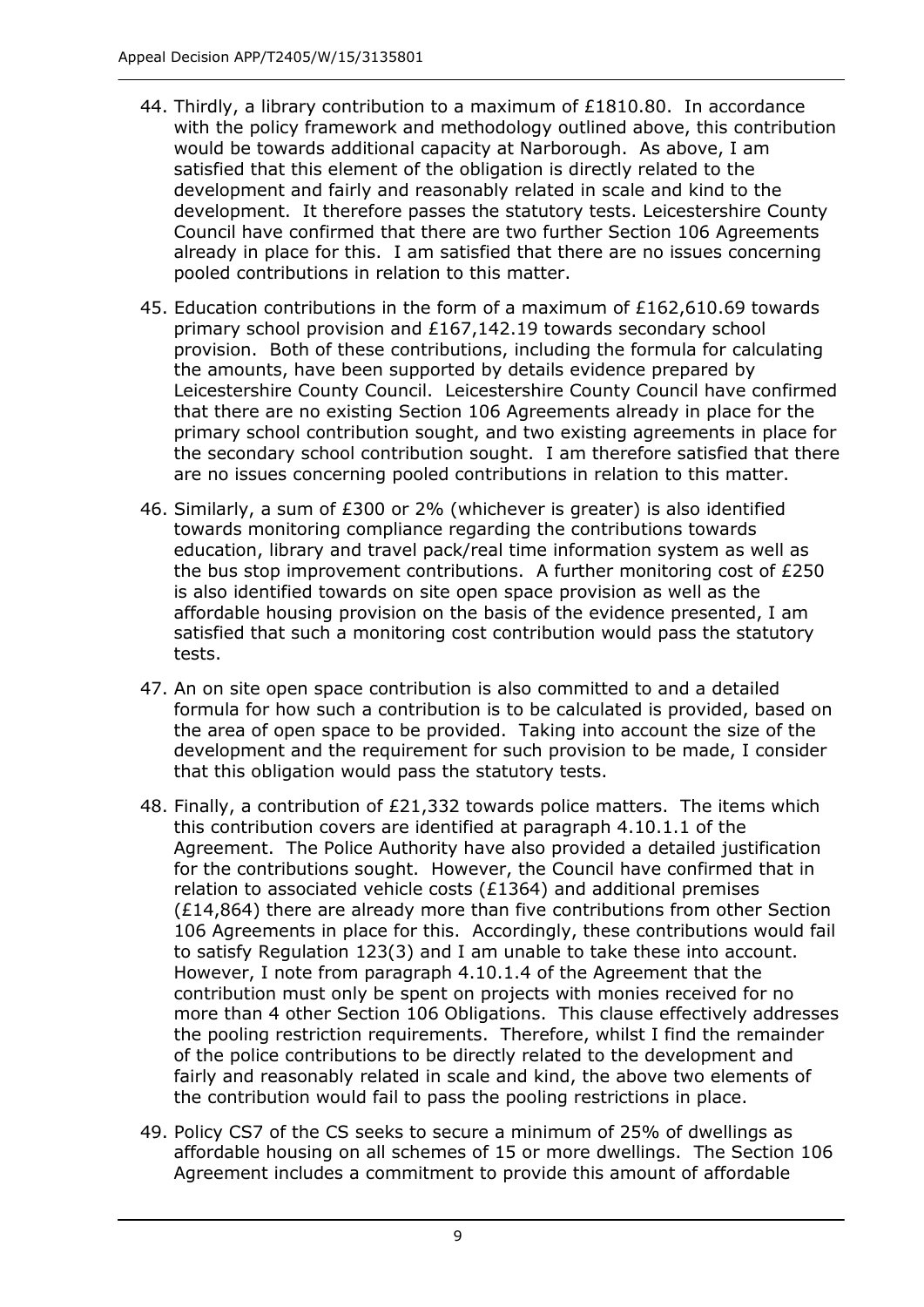- 44. Thirdly, a library contribution to a maximum of £1810.80. In accordance with the policy framework and methodology outlined above, this contribution would be towards additional capacity at Narborough. As above, I am satisfied that this element of the obligation is directly related to the development and fairly and reasonably related in scale and kind to the development. It therefore passes the statutory tests. Leicestershire County Council have confirmed that there are two further Section 106 Agreements already in place for this. I am satisfied that there are no issues concerning pooled contributions in relation to this matter.
- 45. Education contributions in the form of a maximum of £162,610.69 towards primary school provision and £167,142.19 towards secondary school provision. Both of these contributions, including the formula for calculating the amounts, have been supported by details evidence prepared by Leicestershire County Council. Leicestershire County Council have confirmed that there are no existing Section 106 Agreements already in place for the primary school contribution sought, and two existing agreements in place for the secondary school contribution sought. I am therefore satisfied that there are no issues concerning pooled contributions in relation to this matter.
- 46. Similarly, a sum of £300 or 2% (whichever is greater) is also identified towards monitoring compliance regarding the contributions towards education, library and travel pack/real time information system as well as the bus stop improvement contributions. A further monitoring cost of £250 is also identified towards on site open space provision as well as the affordable housing provision on the basis of the evidence presented, I am satisfied that such a monitoring cost contribution would pass the statutory tests.
- 47. An on site open space contribution is also committed to and a detailed formula for how such a contribution is to be calculated is provided, based on the area of open space to be provided. Taking into account the size of the development and the requirement for such provision to be made, I consider that this obligation would pass the statutory tests.
- 48. Finally, a contribution of £21,332 towards police matters. The items which this contribution covers are identified at paragraph 4.10.1.1 of the Agreement. The Police Authority have also provided a detailed justification for the contributions sought. However, the Council have confirmed that in relation to associated vehicle costs (£1364) and additional premises (£14,864) there are already more than five contributions from other Section 106 Agreements in place for this. Accordingly, these contributions would fail to satisfy Regulation 123(3) and I am unable to take these into account. However, I note from paragraph 4.10.1.4 of the Agreement that the contribution must only be spent on projects with monies received for no more than 4 other Section 106 Obligations. This clause effectively addresses the pooling restriction requirements. Therefore, whilst I find the remainder of the police contributions to be directly related to the development and fairly and reasonably related in scale and kind, the above two elements of the contribution would fail to pass the pooling restrictions in place.
- 49. Policy CS7 of the CS seeks to secure a minimum of 25% of dwellings as affordable housing on all schemes of 15 or more dwellings. The Section 106 Agreement includes a commitment to provide this amount of affordable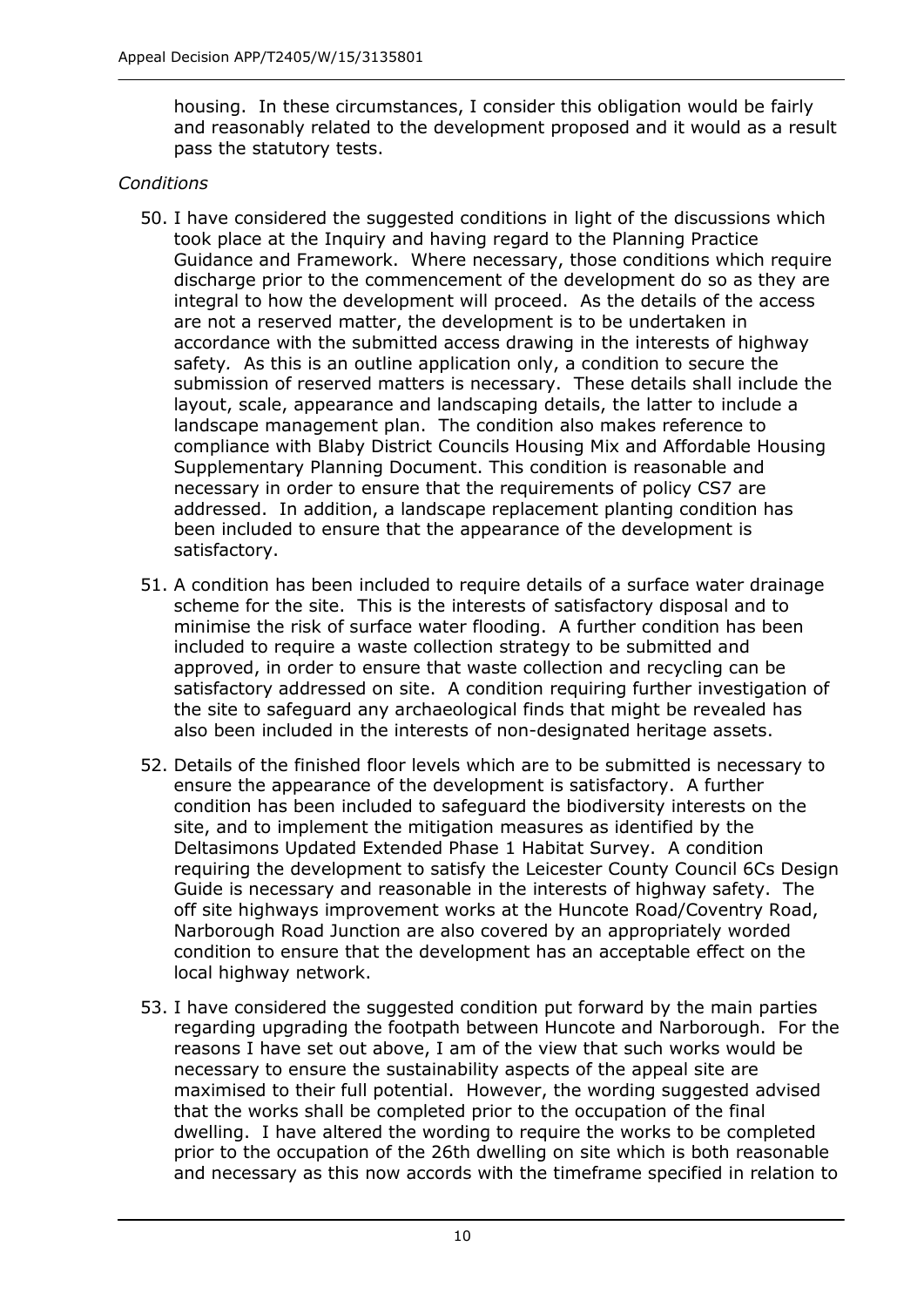housing. In these circumstances, I consider this obligation would be fairly and reasonably related to the development proposed and it would as a result pass the statutory tests.

#### *Conditions*

- 50. I have considered the suggested conditions in light of the discussions which took place at the Inquiry and having regard to the Planning Practice Guidance and Framework. Where necessary, those conditions which require discharge prior to the commencement of the development do so as they are integral to how the development will proceed. As the details of the access are not a reserved matter, the development is to be undertaken in accordance with the submitted access drawing in the interests of highway safety*.* As this is an outline application only, a condition to secure the submission of reserved matters is necessary. These details shall include the layout, scale, appearance and landscaping details, the latter to include a landscape management plan. The condition also makes reference to compliance with Blaby District Councils Housing Mix and Affordable Housing Supplementary Planning Document. This condition is reasonable and necessary in order to ensure that the requirements of policy CS7 are addressed. In addition, a landscape replacement planting condition has been included to ensure that the appearance of the development is satisfactory.
- 51. A condition has been included to require details of a surface water drainage scheme for the site. This is the interests of satisfactory disposal and to minimise the risk of surface water flooding. A further condition has been included to require a waste collection strategy to be submitted and approved, in order to ensure that waste collection and recycling can be satisfactory addressed on site. A condition requiring further investigation of the site to safeguard any archaeological finds that might be revealed has also been included in the interests of non-designated heritage assets.
- 52. Details of the finished floor levels which are to be submitted is necessary to ensure the appearance of the development is satisfactory. A further condition has been included to safeguard the biodiversity interests on the site, and to implement the mitigation measures as identified by the Deltasimons Updated Extended Phase 1 Habitat Survey. A condition requiring the development to satisfy the Leicester County Council 6Cs Design Guide is necessary and reasonable in the interests of highway safety. The off site highways improvement works at the Huncote Road/Coventry Road, Narborough Road Junction are also covered by an appropriately worded condition to ensure that the development has an acceptable effect on the local highway network.
- 53. I have considered the suggested condition put forward by the main parties regarding upgrading the footpath between Huncote and Narborough. For the reasons I have set out above, I am of the view that such works would be necessary to ensure the sustainability aspects of the appeal site are maximised to their full potential. However, the wording suggested advised that the works shall be completed prior to the occupation of the final dwelling. I have altered the wording to require the works to be completed prior to the occupation of the 26th dwelling on site which is both reasonable and necessary as this now accords with the timeframe specified in relation to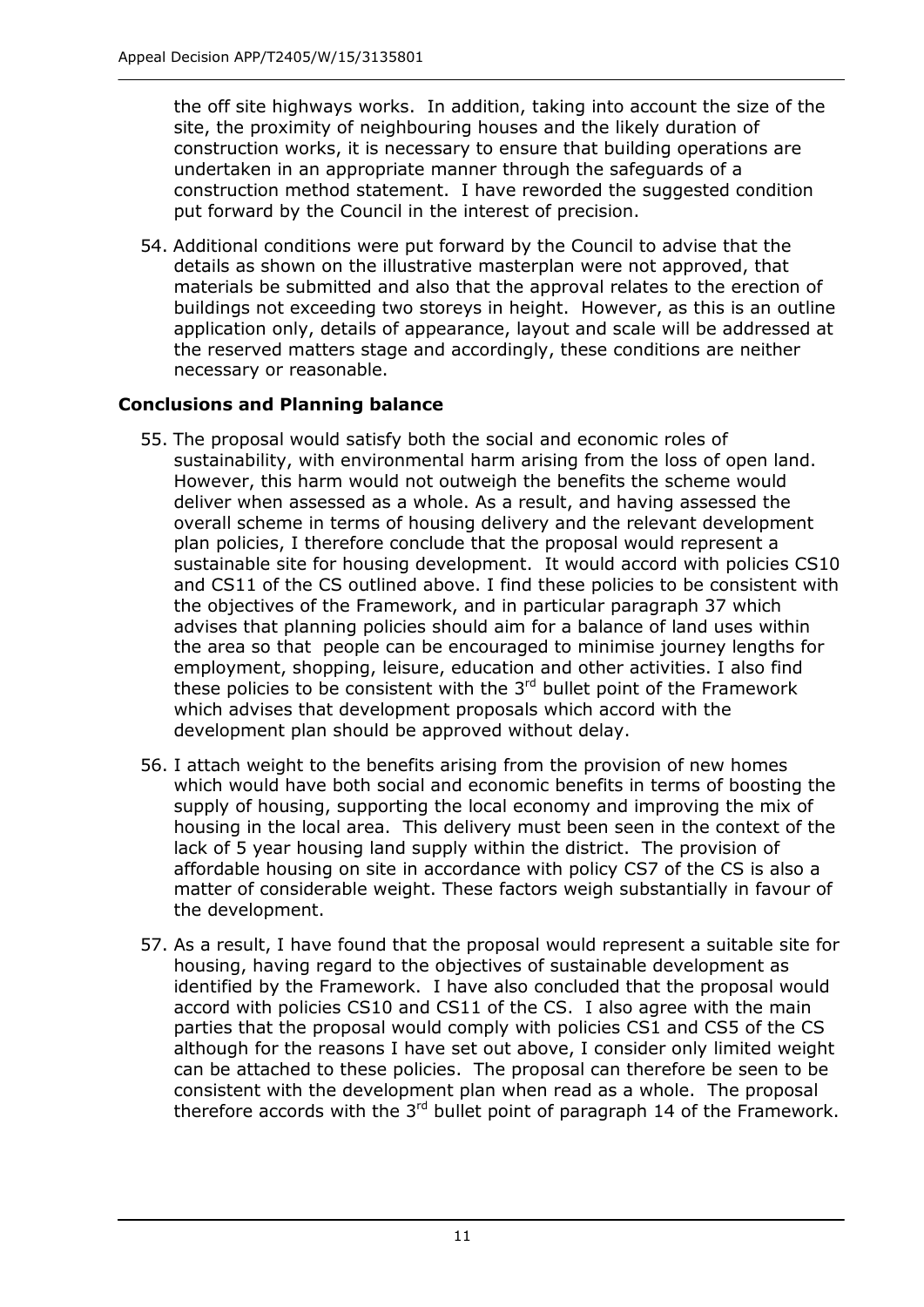the off site highways works. In addition, taking into account the size of the site, the proximity of neighbouring houses and the likely duration of construction works, it is necessary to ensure that building operations are undertaken in an appropriate manner through the safeguards of a construction method statement. I have reworded the suggested condition put forward by the Council in the interest of precision.

54. Additional conditions were put forward by the Council to advise that the details as shown on the illustrative masterplan were not approved, that materials be submitted and also that the approval relates to the erection of buildings not exceeding two storeys in height. However, as this is an outline application only, details of appearance, layout and scale will be addressed at the reserved matters stage and accordingly, these conditions are neither necessary or reasonable.

## **Conclusions and Planning balance**

- 55. The proposal would satisfy both the social and economic roles of sustainability, with environmental harm arising from the loss of open land. However, this harm would not outweigh the benefits the scheme would deliver when assessed as a whole. As a result, and having assessed the overall scheme in terms of housing delivery and the relevant development plan policies, I therefore conclude that the proposal would represent a sustainable site for housing development. It would accord with policies CS10 and CS11 of the CS outlined above. I find these policies to be consistent with the objectives of the Framework, and in particular paragraph 37 which advises that planning policies should aim for a balance of land uses within the area so that people can be encouraged to minimise journey lengths for employment, shopping, leisure, education and other activities. I also find these policies to be consistent with the  $3<sup>rd</sup>$  bullet point of the Framework which advises that development proposals which accord with the development plan should be approved without delay.
- 56. I attach weight to the benefits arising from the provision of new homes which would have both social and economic benefits in terms of boosting the supply of housing, supporting the local economy and improving the mix of housing in the local area. This delivery must been seen in the context of the lack of 5 year housing land supply within the district. The provision of affordable housing on site in accordance with policy CS7 of the CS is also a matter of considerable weight. These factors weigh substantially in favour of the development.
- 57. As a result, I have found that the proposal would represent a suitable site for housing, having regard to the objectives of sustainable development as identified by the Framework. I have also concluded that the proposal would accord with policies CS10 and CS11 of the CS. I also agree with the main parties that the proposal would comply with policies CS1 and CS5 of the CS although for the reasons I have set out above, I consider only limited weight can be attached to these policies. The proposal can therefore be seen to be consistent with the development plan when read as a whole. The proposal therefore accords with the  $3<sup>rd</sup>$  bullet point of paragraph 14 of the Framework.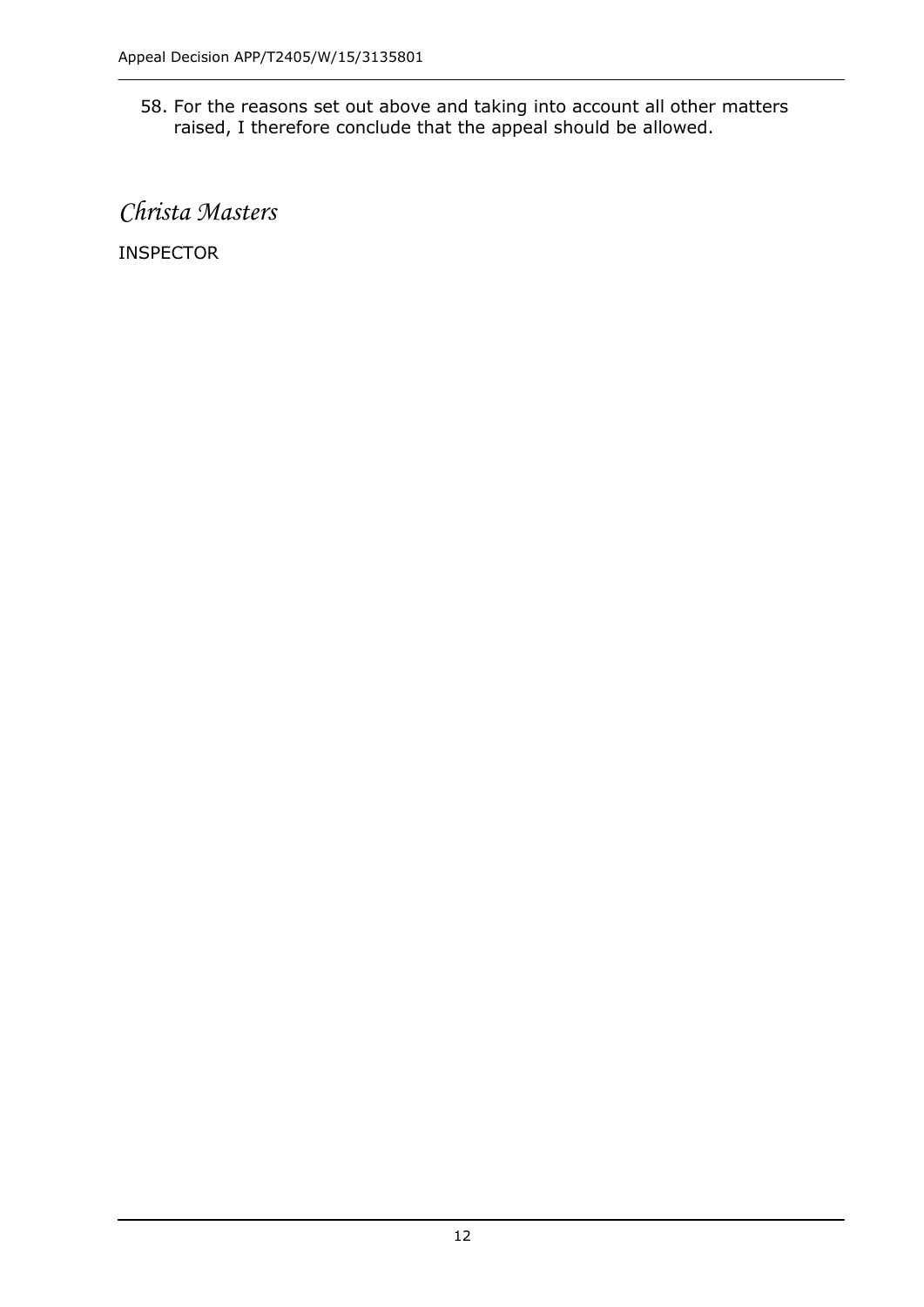58. For the reasons set out above and taking into account all other matters raised, I therefore conclude that the appeal should be allowed.

*Christa Masters*

INSPECTOR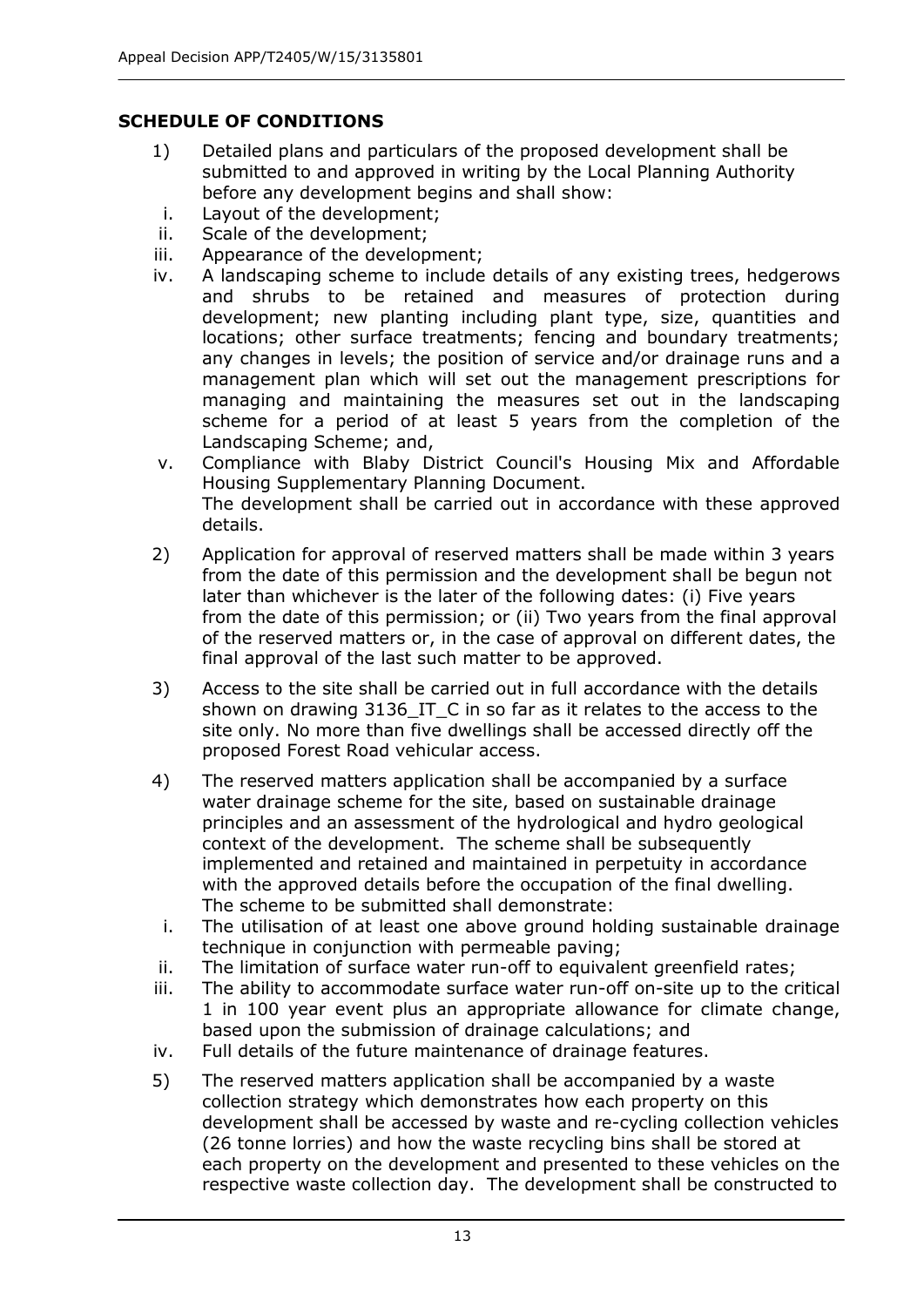## **SCHEDULE OF CONDITIONS**

- 1) Detailed plans and particulars of the proposed development shall be submitted to and approved in writing by the Local Planning Authority before any development begins and shall show:
- i. Layout of the development;
- ii. Scale of the development;
- iii. Appearance of the development;
- iv. A landscaping scheme to include details of any existing trees, hedgerows and shrubs to be retained and measures of protection during development; new planting including plant type, size, quantities and locations; other surface treatments; fencing and boundary treatments; any changes in levels; the position of service and/or drainage runs and a management plan which will set out the management prescriptions for managing and maintaining the measures set out in the landscaping scheme for a period of at least 5 years from the completion of the Landscaping Scheme; and,
- v. Compliance with Blaby District Council's Housing Mix and Affordable Housing Supplementary Planning Document. The development shall be carried out in accordance with these approved details.
- 2) Application for approval of reserved matters shall be made within 3 years from the date of this permission and the development shall be begun not later than whichever is the later of the following dates: (i) Five years from the date of this permission; or (ii) Two years from the final approval of the reserved matters or, in the case of approval on different dates, the final approval of the last such matter to be approved.
- 3) Access to the site shall be carried out in full accordance with the details shown on drawing 3136 IT C in so far as it relates to the access to the site only. No more than five dwellings shall be accessed directly off the proposed Forest Road vehicular access.
- 4) The reserved matters application shall be accompanied by a surface water drainage scheme for the site, based on sustainable drainage principles and an assessment of the hydrological and hydro geological context of the development. The scheme shall be subsequently implemented and retained and maintained in perpetuity in accordance with the approved details before the occupation of the final dwelling. The scheme to be submitted shall demonstrate:
- i. The utilisation of at least one above ground holding sustainable drainage technique in conjunction with permeable paving;
- ii. The limitation of surface water run-off to equivalent greenfield rates;
- iii. The ability to accommodate surface water run-off on-site up to the critical 1 in 100 year event plus an appropriate allowance for climate change, based upon the submission of drainage calculations; and
- iv. Full details of the future maintenance of drainage features.
- 5) The reserved matters application shall be accompanied by a waste collection strategy which demonstrates how each property on this development shall be accessed by waste and re-cycling collection vehicles (26 tonne lorries) and how the waste recycling bins shall be stored at each property on the development and presented to these vehicles on the respective waste collection day. The development shall be constructed to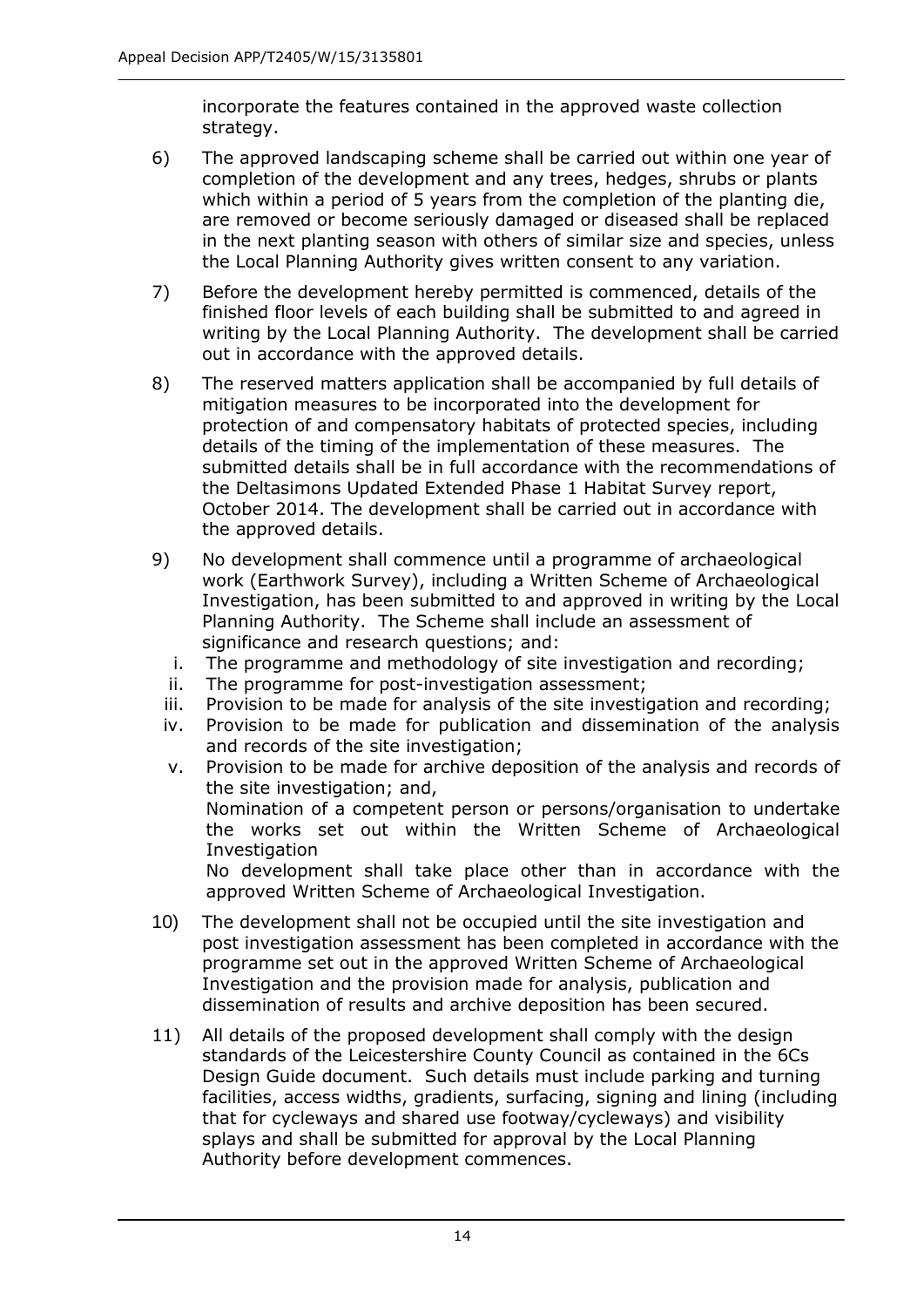incorporate the features contained in the approved waste collection strategy.

- 6) The approved landscaping scheme shall be carried out within one year of completion of the development and any trees, hedges, shrubs or plants which within a period of 5 years from the completion of the planting die, are removed or become seriously damaged or diseased shall be replaced in the next planting season with others of similar size and species, unless the Local Planning Authority gives written consent to any variation.
- 7) Before the development hereby permitted is commenced, details of the finished floor levels of each building shall be submitted to and agreed in writing by the Local Planning Authority. The development shall be carried out in accordance with the approved details.
- 8) The reserved matters application shall be accompanied by full details of mitigation measures to be incorporated into the development for protection of and compensatory habitats of protected species, including details of the timing of the implementation of these measures. The submitted details shall be in full accordance with the recommendations of the Deltasimons Updated Extended Phase 1 Habitat Survey report, October 2014. The development shall be carried out in accordance with the approved details.
- 9) No development shall commence until a programme of archaeological work (Earthwork Survey), including a Written Scheme of Archaeological Investigation, has been submitted to and approved in writing by the Local Planning Authority. The Scheme shall include an assessment of significance and research questions; and:
	- i. The programme and methodology of site investigation and recording;
	- ii. The programme for post-investigation assessment;
	- iii. Provision to be made for analysis of the site investigation and recording;
	- iv. Provision to be made for publication and dissemination of the analysis and records of the site investigation;
	- v. Provision to be made for archive deposition of the analysis and records of the site investigation; and, Nomination of a competent person or persons/organisation to undertake the works set out within the Written Scheme of Archaeological **Investigation** No development shall take place other than in accordance with the approved Written Scheme of Archaeological Investigation.
- 10) The development shall not be occupied until the site investigation and post investigation assessment has been completed in accordance with the programme set out in the approved Written Scheme of Archaeological Investigation and the provision made for analysis, publication and dissemination of results and archive deposition has been secured.
- 11) All details of the proposed development shall comply with the design standards of the Leicestershire County Council as contained in the 6Cs Design Guide document. Such details must include parking and turning facilities, access widths, gradients, surfacing, signing and lining (including that for cycleways and shared use footway/cycleways) and visibility splays and shall be submitted for approval by the Local Planning Authority before development commences.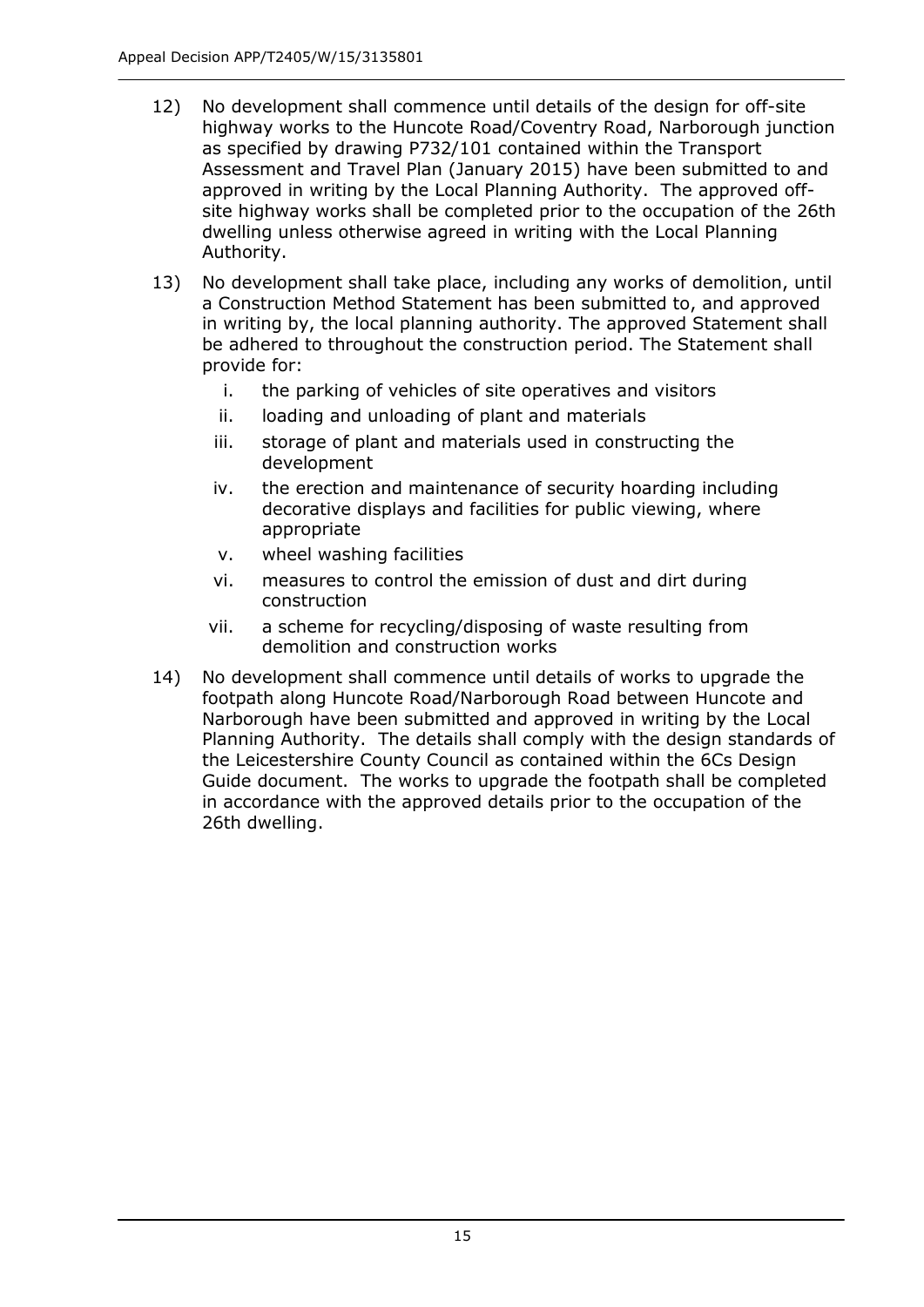- 12) No development shall commence until details of the design for off-site highway works to the Huncote Road/Coventry Road, Narborough junction as specified by drawing P732/101 contained within the Transport Assessment and Travel Plan (January 2015) have been submitted to and approved in writing by the Local Planning Authority. The approved offsite highway works shall be completed prior to the occupation of the 26th dwelling unless otherwise agreed in writing with the Local Planning Authority.
- 13) No development shall take place, including any works of demolition, until a Construction Method Statement has been submitted to, and approved in writing by, the local planning authority. The approved Statement shall be adhered to throughout the construction period. The Statement shall provide for:
	- i. the parking of vehicles of site operatives and visitors
	- ii. loading and unloading of plant and materials
	- iii. storage of plant and materials used in constructing the development
	- iv. the erection and maintenance of security hoarding including decorative displays and facilities for public viewing, where appropriate
	- v. wheel washing facilities
	- vi. measures to control the emission of dust and dirt during construction
	- vii. a scheme for recycling/disposing of waste resulting from demolition and construction works
- 14) No development shall commence until details of works to upgrade the footpath along Huncote Road/Narborough Road between Huncote and Narborough have been submitted and approved in writing by the Local Planning Authority. The details shall comply with the design standards of the Leicestershire County Council as contained within the 6Cs Design Guide document. The works to upgrade the footpath shall be completed in accordance with the approved details prior to the occupation of the 26th dwelling.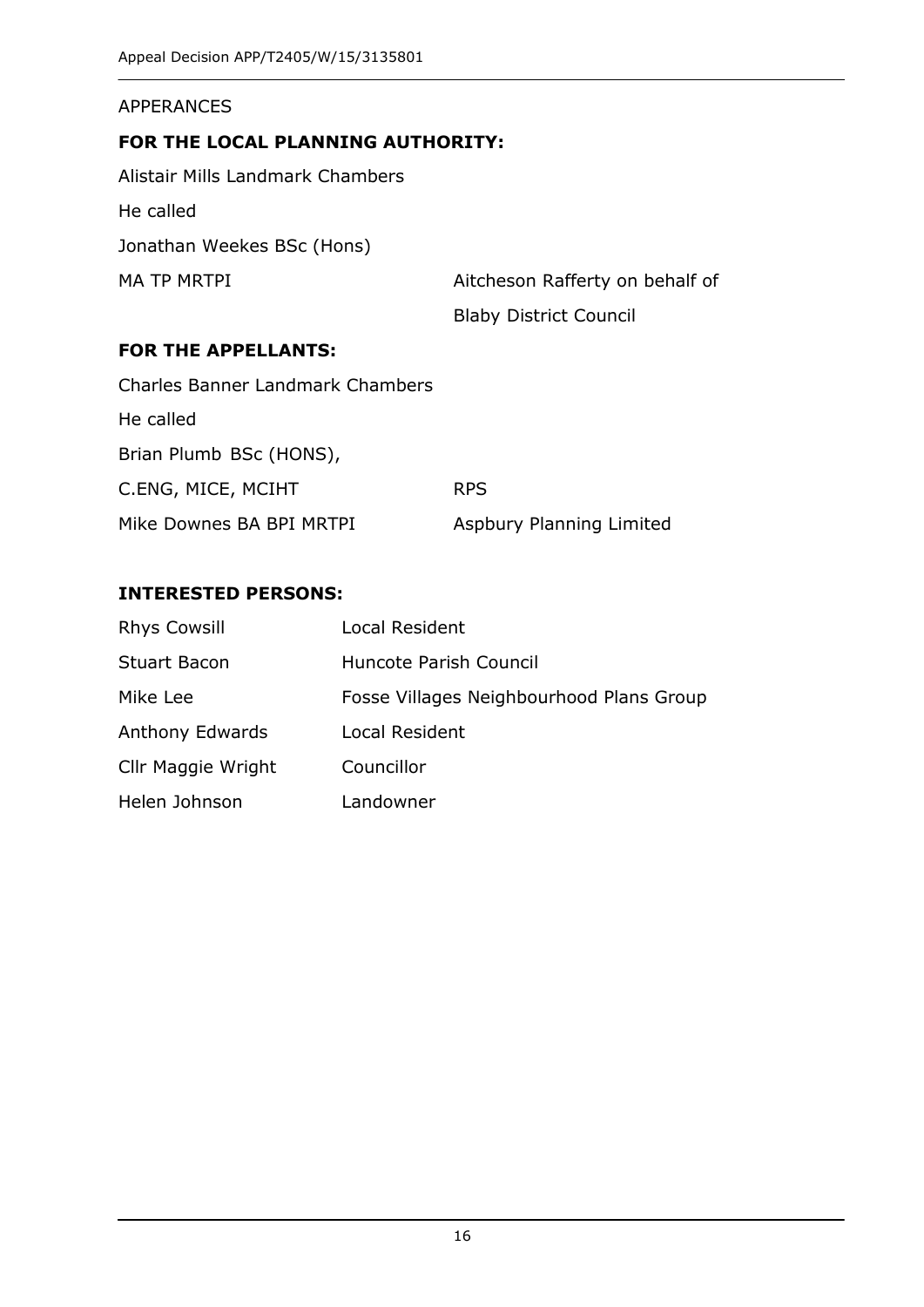#### APPERANCES

#### **FOR THE LOCAL PLANNING AUTHORITY:**

Alistair Mills Landmark Chambers He called Jonathan Weekes BSc (Hons) MA TP MRTPI Aitcheson Rafferty on behalf of

Blaby District Council

#### **FOR THE APPELLANTS:**

| <b>Charles Banner Landmark Chambers</b> |                          |
|-----------------------------------------|--------------------------|
| He called                               |                          |
| Brian Plumb BSc (HONS),                 |                          |
| C.ENG, MICE, MCIHT                      | <b>RPS</b>               |
| Mike Downes BA BPI MRTPI                | Aspbury Planning Limited |

#### **INTERESTED PERSONS:**

| <b>Rhys Cowsill</b>    | Local Resident                           |
|------------------------|------------------------------------------|
| <b>Stuart Bacon</b>    | Huncote Parish Council                   |
| Mike Lee               | Fosse Villages Neighbourhood Plans Group |
| <b>Anthony Edwards</b> | Local Resident                           |
| Cllr Maggie Wright     | Councillor                               |
| Helen Johnson          | Landowner                                |